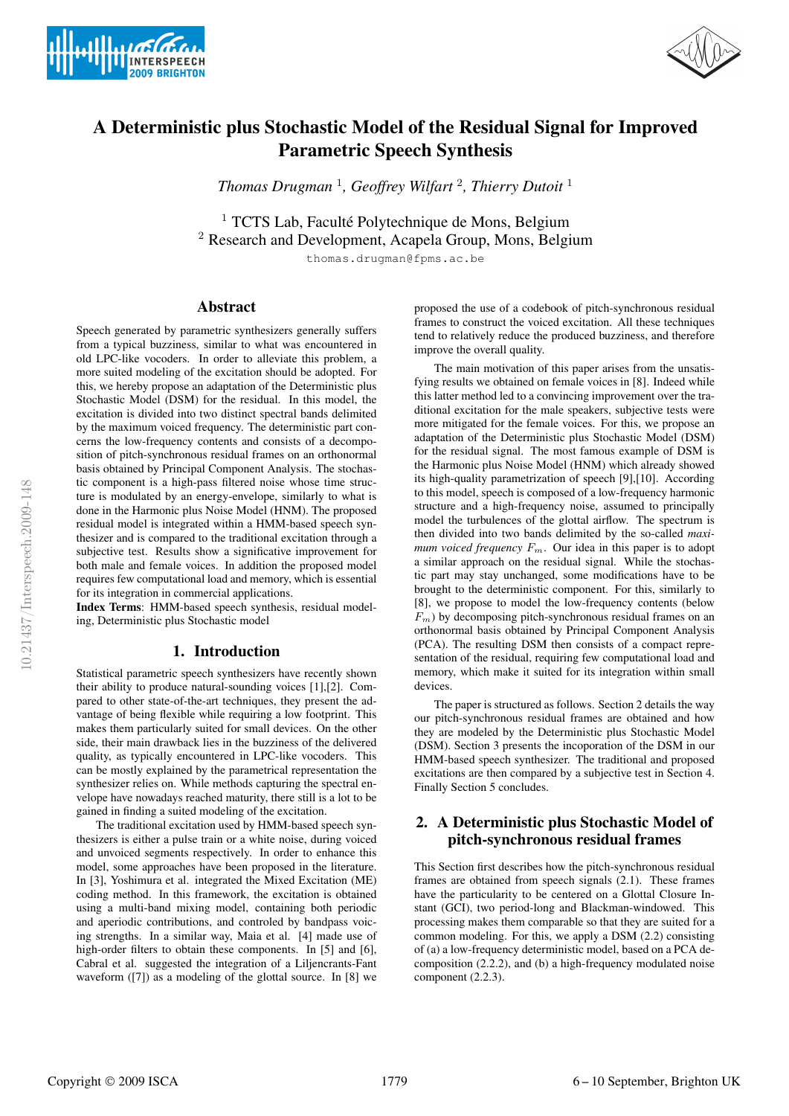



# A Deterministic plus Stochastic Model of the Residual Signal for Improved Parametric Speech Synthesis

*Thomas Drugman* <sup>1</sup> *, Geoffrey Wilfart* <sup>2</sup> *, Thierry Dutoit* <sup>1</sup>

 $1$  TCTS Lab, Faculté Polytechnique de Mons, Belgium <sup>2</sup> Research and Development, Acapela Group, Mons, Belgium

thomas.drugman@fpms.ac.be

## Abstract

Speech generated by parametric synthesizers generally suffers from a typical buzziness, similar to what was encountered in old LPC-like vocoders. In order to alleviate this problem, a more suited modeling of the excitation should be adopted. For this, we hereby propose an adaptation of the Deterministic plus Stochastic Model (DSM) for the residual. In this model, the excitation is divided into two distinct spectral bands delimited by the maximum voiced frequency. The deterministic part concerns the low-frequency contents and consists of a decomposition of pitch-synchronous residual frames on an orthonormal basis obtained by Principal Component Analysis. The stochastic component is a high-pass filtered noise whose time structure is modulated by an energy-envelope, similarly to what is done in the Harmonic plus Noise Model (HNM). The proposed residual model is integrated within a HMM-based speech synthesizer and is compared to the traditional excitation through a subjective test. Results show a significative improvement for both male and female voices. In addition the proposed model requires few computational load and memory, which is essential for its integration in commercial applications.

Index Terms: HMM-based speech synthesis, residual modeling, Deterministic plus Stochastic model

## 1. Introduction

Statistical parametric speech synthesizers have recently shown their ability to produce natural-sounding voices [1],[2]. Compared to other state-of-the-art techniques, they present the advantage of being flexible while requiring a low footprint. This makes them particularly suited for small devices. On the other side, their main drawback lies in the buzziness of the delivered quality, as typically encountered in LPC-like vocoders. This can be mostly explained by the parametrical representation the synthesizer relies on. While methods capturing the spectral envelope have nowadays reached maturity, there still is a lot to be gained in finding a suited modeling of the excitation.

The traditional excitation used by HMM-based speech synthesizers is either a pulse train or a white noise, during voiced and unvoiced segments respectively. In order to enhance this model, some approaches have been proposed in the literature. In [3], Yoshimura et al. integrated the Mixed Excitation (ME) coding method. In this framework, the excitation is obtained using a multi-band mixing model, containing both periodic and aperiodic contributions, and controled by bandpass voicing strengths. In a similar way, Maia et al. [4] made use of high-order filters to obtain these components. In [5] and [6], Cabral et al. suggested the integration of a Liljencrants-Fant waveform ([7]) as a modeling of the glottal source. In [8] we proposed the use of a codebook of pitch-synchronous residual frames to construct the voiced excitation. All these techniques tend to relatively reduce the produced buzziness, and therefore improve the overall quality.

The main motivation of this paper arises from the unsatisfying results we obtained on female voices in [8]. Indeed while this latter method led to a convincing improvement over the traditional excitation for the male speakers, subjective tests were more mitigated for the female voices. For this, we propose an adaptation of the Deterministic plus Stochastic Model (DSM) for the residual signal. The most famous example of DSM is the Harmonic plus Noise Model (HNM) which already showed its high-quality parametrization of speech [9],[10]. According to this model, speech is composed of a low-frequency harmonic structure and a high-frequency noise, assumed to principally model the turbulences of the glottal airflow. The spectrum is then divided into two bands delimited by the so-called *maximum voiced frequency*  $F_m$ . Our idea in this paper is to adopt a similar approach on the residual signal. While the stochastic part may stay unchanged, some modifications have to be brought to the deterministic component. For this, similarly to [8], we propose to model the low-frequency contents (below  $F_m$ ) by decomposing pitch-synchronous residual frames on an orthonormal basis obtained by Principal Component Analysis (PCA). The resulting DSM then consists of a compact representation of the residual, requiring few computational load and memory, which make it suited for its integration within small devices.

The paper is structured as follows. Section 2 details the way our pitch-synchronous residual frames are obtained and how they are modeled by the Deterministic plus Stochastic Model (DSM). Section 3 presents the incoporation of the DSM in our HMM-based speech synthesizer. The traditional and proposed excitations are then compared by a subjective test in Section 4. Finally Section 5 concludes.

# 2. A Deterministic plus Stochastic Model of pitch-synchronous residual frames

This Section first describes how the pitch-synchronous residual frames are obtained from speech signals (2.1). These frames have the particularity to be centered on a Glottal Closure Instant (GCI), two period-long and Blackman-windowed. This processing makes them comparable so that they are suited for a common modeling. For this, we apply a DSM (2.2) consisting of (a) a low-frequency deterministic model, based on a PCA decomposition (2.2.2), and (b) a high-frequency modulated noise component (2.2.3).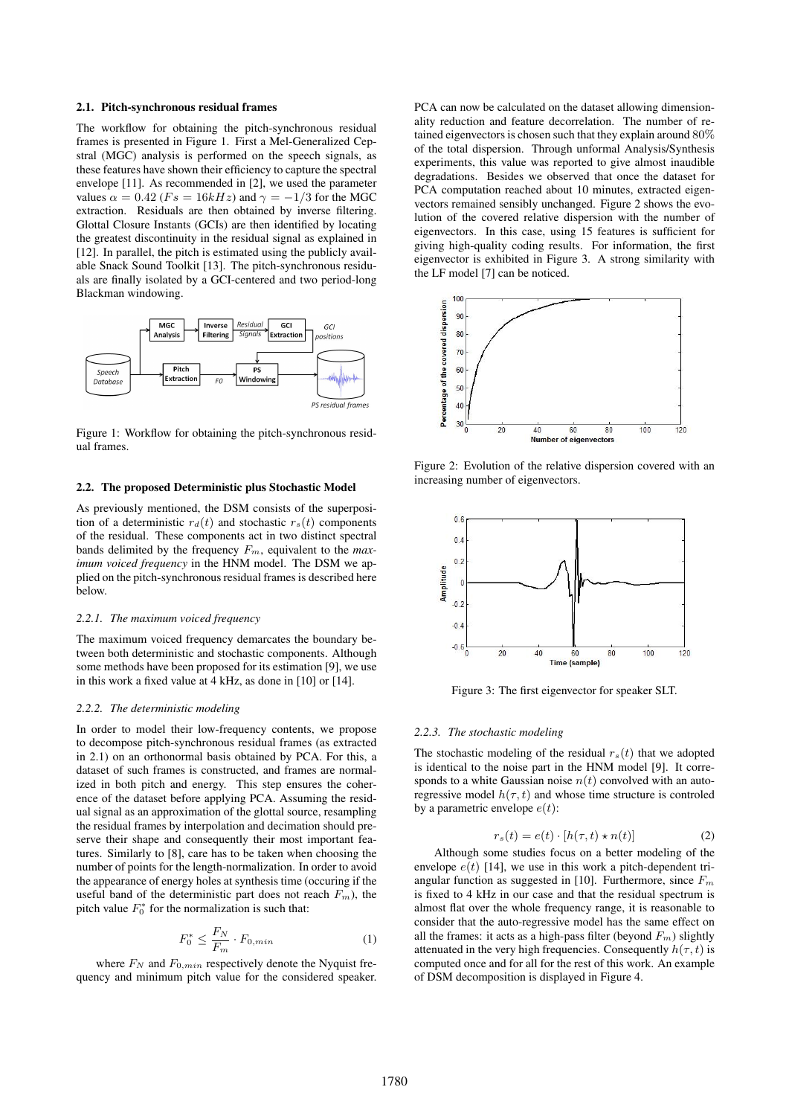#### 2.1. Pitch-synchronous residual frames

The workflow for obtaining the pitch-synchronous residual frames is presented in Figure 1. First a Mel-Generalized Cepstral (MGC) analysis is performed on the speech signals, as these features have shown their efficiency to capture the spectral envelope [11]. As recommended in [2], we used the parameter values  $\alpha = 0.42$  (F<sub>s</sub> = 16kHz) and  $\gamma = -1/3$  for the MGC extraction. Residuals are then obtained by inverse filtering. Glottal Closure Instants (GCIs) are then identified by locating the greatest discontinuity in the residual signal as explained in [12]. In parallel, the pitch is estimated using the publicly available Snack Sound Toolkit [13]. The pitch-synchronous residuals are finally isolated by a GCI-centered and two period-long Blackman windowing.



Figure 1: Workflow for obtaining the pitch-synchronous residual frames.

### 2.2. The proposed Deterministic plus Stochastic Model

As previously mentioned, the DSM consists of the superposition of a deterministic  $r_d(t)$  and stochastic  $r_s(t)$  components of the residual. These components act in two distinct spectral bands delimited by the frequency  $F_m$ , equivalent to the *maximum voiced frequency* in the HNM model. The DSM we applied on the pitch-synchronous residual frames is described here below.

#### *2.2.1. The maximum voiced frequency*

The maximum voiced frequency demarcates the boundary between both deterministic and stochastic components. Although some methods have been proposed for its estimation [9], we use in this work a fixed value at 4 kHz, as done in [10] or [14].

#### *2.2.2. The deterministic modeling*

In order to model their low-frequency contents, we propose to decompose pitch-synchronous residual frames (as extracted in 2.1) on an orthonormal basis obtained by PCA. For this, a dataset of such frames is constructed, and frames are normalized in both pitch and energy. This step ensures the coherence of the dataset before applying PCA. Assuming the residual signal as an approximation of the glottal source, resampling the residual frames by interpolation and decimation should preserve their shape and consequently their most important features. Similarly to [8], care has to be taken when choosing the number of points for the length-normalization. In order to avoid the appearance of energy holes at synthesis time (occuring if the useful band of the deterministic part does not reach  $F_m$ ), the pitch value  $F_0^*$  for the normalization is such that:

$$
F_0^* \le \frac{F_N}{F_m} \cdot F_{0,min} \tag{1}
$$

where  $F_N$  and  $F_{0,min}$  respectively denote the Nyquist frequency and minimum pitch value for the considered speaker. PCA can now be calculated on the dataset allowing dimensionality reduction and feature decorrelation. The number of retained eigenvectors is chosen such that they explain around 80% of the total dispersion. Through unformal Analysis/Synthesis experiments, this value was reported to give almost inaudible degradations. Besides we observed that once the dataset for PCA computation reached about 10 minutes, extracted eigenvectors remained sensibly unchanged. Figure 2 shows the evolution of the covered relative dispersion with the number of eigenvectors. In this case, using 15 features is sufficient for giving high-quality coding results. For information, the first eigenvector is exhibited in Figure 3. A strong similarity with the LF model [7] can be noticed.



Figure 2: Evolution of the relative dispersion covered with an increasing number of eigenvectors.



Figure 3: The first eigenvector for speaker SLT.

### *2.2.3. The stochastic modeling*

The stochastic modeling of the residual  $r_s(t)$  that we adopted is identical to the noise part in the HNM model [9]. It corresponds to a white Gaussian noise  $n(t)$  convolved with an autoregressive model  $h(\tau, t)$  and whose time structure is controled by a parametric envelope  $e(t)$ :

$$
r_s(t) = e(t) \cdot [h(\tau, t) \star n(t)] \tag{2}
$$

Although some studies focus on a better modeling of the envelope  $e(t)$  [14], we use in this work a pitch-dependent triangular function as suggested in [10]. Furthermore, since  $F_m$ is fixed to 4 kHz in our case and that the residual spectrum is almost flat over the whole frequency range, it is reasonable to consider that the auto-regressive model has the same effect on all the frames: it acts as a high-pass filter (beyond  $F_m$ ) slightly attenuated in the very high frequencies. Consequently  $h(\tau, t)$  is computed once and for all for the rest of this work. An example of DSM decomposition is displayed in Figure 4.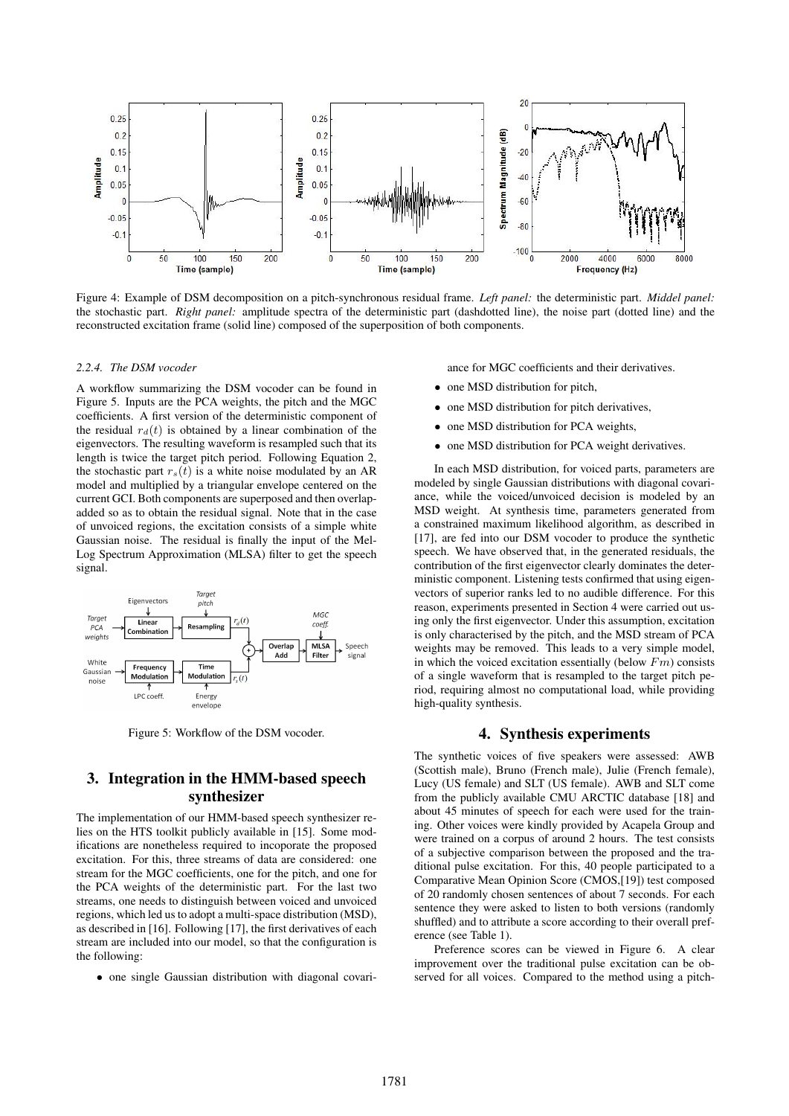

Figure 4: Example of DSM decomposition on a pitch-synchronous residual frame. *Left panel:* the deterministic part. *Middel panel:* the stochastic part. *Right panel:* amplitude spectra of the deterministic part (dashdotted line), the noise part (dotted line) and the reconstructed excitation frame (solid line) composed of the superposition of both components.

#### *2.2.4. The DSM vocoder*

A workflow summarizing the DSM vocoder can be found in Figure 5. Inputs are the PCA weights, the pitch and the MGC coefficients. A first version of the deterministic component of the residual  $r_d(t)$  is obtained by a linear combination of the eigenvectors. The resulting waveform is resampled such that its length is twice the target pitch period. Following Equation 2, the stochastic part  $r_s(t)$  is a white noise modulated by an AR model and multiplied by a triangular envelope centered on the current GCI. Both components are superposed and then overlapadded so as to obtain the residual signal. Note that in the case of unvoiced regions, the excitation consists of a simple white Gaussian noise. The residual is finally the input of the Mel-Log Spectrum Approximation (MLSA) filter to get the speech signal.



Figure 5: Workflow of the DSM vocoder.

## 3. Integration in the HMM-based speech synthesizer

The implementation of our HMM-based speech synthesizer relies on the HTS toolkit publicly available in [15]. Some modifications are nonetheless required to incoporate the proposed excitation. For this, three streams of data are considered: one stream for the MGC coefficients, one for the pitch, and one for the PCA weights of the deterministic part. For the last two streams, one needs to distinguish between voiced and unvoiced regions, which led us to adopt a multi-space distribution (MSD), as described in [16]. Following [17], the first derivatives of each stream are included into our model, so that the configuration is the following:

• one single Gaussian distribution with diagonal covari-

ance for MGC coefficients and their derivatives.

- one MSD distribution for pitch,
- one MSD distribution for pitch derivatives,
- one MSD distribution for PCA weights,
- one MSD distribution for PCA weight derivatives.

In each MSD distribution, for voiced parts, parameters are modeled by single Gaussian distributions with diagonal covariance, while the voiced/unvoiced decision is modeled by an MSD weight. At synthesis time, parameters generated from a constrained maximum likelihood algorithm, as described in [17], are fed into our DSM vocoder to produce the synthetic speech. We have observed that, in the generated residuals, the contribution of the first eigenvector clearly dominates the deterministic component. Listening tests confirmed that using eigenvectors of superior ranks led to no audible difference. For this reason, experiments presented in Section 4 were carried out using only the first eigenvector. Under this assumption, excitation is only characterised by the pitch, and the MSD stream of PCA weights may be removed. This leads to a very simple model, in which the voiced excitation essentially (below  $Fm$ ) consists of a single waveform that is resampled to the target pitch period, requiring almost no computational load, while providing high-quality synthesis.

## 4. Synthesis experiments

The synthetic voices of five speakers were assessed: AWB (Scottish male), Bruno (French male), Julie (French female), Lucy (US female) and SLT (US female). AWB and SLT come from the publicly available CMU ARCTIC database [18] and about 45 minutes of speech for each were used for the training. Other voices were kindly provided by Acapela Group and were trained on a corpus of around 2 hours. The test consists of a subjective comparison between the proposed and the traditional pulse excitation. For this, 40 people participated to a Comparative Mean Opinion Score (CMOS,[19]) test composed of 20 randomly chosen sentences of about 7 seconds. For each sentence they were asked to listen to both versions (randomly shuffled) and to attribute a score according to their overall preference (see Table 1).

Preference scores can be viewed in Figure 6. A clear improvement over the traditional pulse excitation can be observed for all voices. Compared to the method using a pitch-